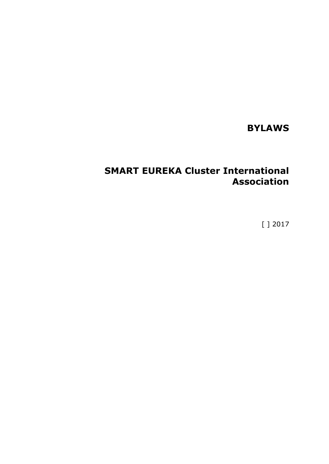# **BYLAWS**

# **SMART EUREKA Cluster International Association**

[ ] 2017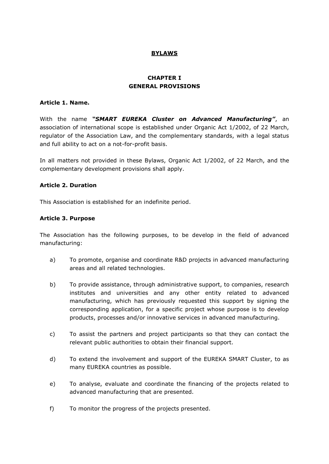## **BYLAWS**

## **CHAPTER I GENERAL PROVISIONS**

#### **Article 1. Name.**

With the name *"SMART EUREKA Cluster on Advanced Manufacturing"*, an association of international scope is established under Organic Act 1/2002, of 22 March, regulator of the Association Law, and the complementary standards, with a legal status and full ability to act on a not-for-profit basis.

In all matters not provided in these Bylaws, Organic Act 1/2002, of 22 March, and the complementary development provisions shall apply.

#### **Article 2. Duration**

This Association is established for an indefinite period.

#### **Article 3. Purpose**

The Association has the following purposes, to be develop in the field of advanced manufacturing:

- a) To promote, organise and coordinate R&D projects in advanced manufacturing areas and all related technologies.
- b) To provide assistance, through administrative support, to companies, research institutes and universities and any other entity related to advanced manufacturing, which has previously requested this support by signing the corresponding application, for a specific project whose purpose is to develop products, processes and/or innovative services in advanced manufacturing.
- c) To assist the partners and project participants so that they can contact the relevant public authorities to obtain their financial support.
- d) To extend the involvement and support of the EUREKA SMART Cluster, to as many EUREKA countries as possible.
- e) To analyse, evaluate and coordinate the financing of the projects related to advanced manufacturing that are presented.
- f) To monitor the progress of the projects presented.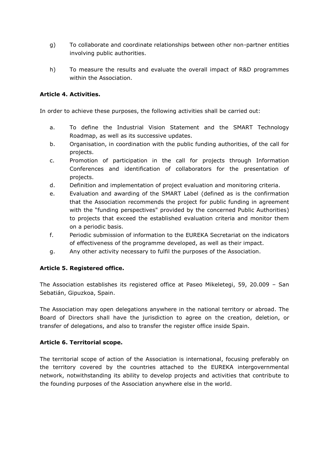- g) To collaborate and coordinate relationships between other non-partner entities involving public authorities.
- h) To measure the results and evaluate the overall impact of R&D programmes within the Association.

#### **Article 4. Activities.**

In order to achieve these purposes, the following activities shall be carried out:

- a. To define the Industrial Vision Statement and the SMART Technology Roadmap, as well as its successive updates.
- b. Organisation, in coordination with the public funding authorities, of the call for projects.
- c. Promotion of participation in the call for projects through Information Conferences and identification of collaborators for the presentation of projects.
- d. Definition and implementation of project evaluation and monitoring criteria.
- e. Evaluation and awarding of the SMART Label (defined as is the confirmation that the Association recommends the project for public funding in agreement with the "funding perspectives" provided by the concerned Public Authorities) to projects that exceed the established evaluation criteria and monitor them on a periodic basis.
- f. Periodic submission of information to the EUREKA Secretariat on the indicators of effectiveness of the programme developed, as well as their impact.
- g. Any other activity necessary to fulfil the purposes of the Association.

#### **Article 5. Registered office.**

The Association establishes its registered office at Paseo Mikeletegi, 59, 20.009 – San Sebatián, Gipuzkoa, Spain.

The Association may open delegations anywhere in the national territory or abroad. The Board of Directors shall have the jurisdiction to agree on the creation, deletion, or transfer of delegations, and also to transfer the register office inside Spain.

#### **Article 6. Territorial scope.**

The territorial scope of action of the Association is international, focusing preferably on the territory covered by the countries attached to the EUREKA intergovernmental network, notwithstanding its ability to develop projects and activities that contribute to the founding purposes of the Association anywhere else in the world.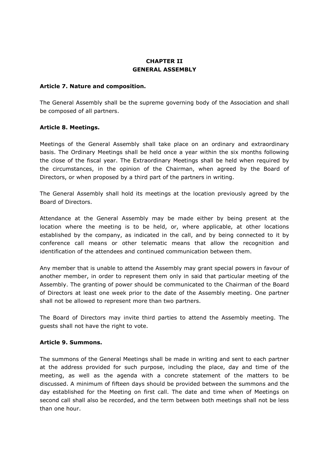## **CHAPTER II GENERAL ASSEMBLY**

#### **Article 7. Nature and composition.**

The General Assembly shall be the supreme governing body of the Association and shall be composed of all partners.

#### **Article 8. Meetings.**

Meetings of the General Assembly shall take place on an ordinary and extraordinary basis. The Ordinary Meetings shall be held once a year within the six months following the close of the fiscal year. The Extraordinary Meetings shall be held when required by the circumstances, in the opinion of the Chairman, when agreed by the Board of Directors, or when proposed by a third part of the partners in writing.

The General Assembly shall hold its meetings at the location previously agreed by the Board of Directors.

Attendance at the General Assembly may be made either by being present at the location where the meeting is to be held, or, where applicable, at other locations established by the company, as indicated in the call, and by being connected to it by conference call means or other telematic means that allow the recognition and identification of the attendees and continued communication between them.

Any member that is unable to attend the Assembly may grant special powers in favour of another member, in order to represent them only in said that particular meeting of the Assembly. The granting of power should be communicated to the Chairman of the Board of Directors at least one week prior to the date of the Assembly meeting. One partner shall not be allowed to represent more than two partners.

The Board of Directors may invite third parties to attend the Assembly meeting. The guests shall not have the right to vote.

#### **Article 9. Summons.**

The summons of the General Meetings shall be made in writing and sent to each partner at the address provided for such purpose, including the place, day and time of the meeting, as well as the agenda with a concrete statement of the matters to be discussed. A minimum of fifteen days should be provided between the summons and the day established for the Meeting on first call. The date and time when of Meetings on second call shall also be recorded, and the term between both meetings shall not be less than one hour.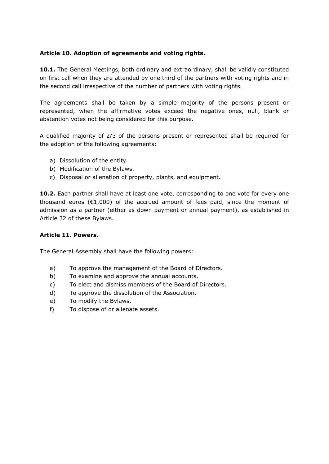## **Article 10. Adoption of agreements and voting rights.**

**10.1.** The General Meetings, both ordinary and extraordinary, shall be validly constituted on first call when they are attended by one third of the partners with voting rights and in the second call irrespective of the number of partners with voting rights.

The agreements shall be taken by a simple majority of the persons present or represented, when the affirmative votes exceed the negative ones, null, blank or abstention votes not being considered for this purpose.

A qualified majority of 2/3 of the persons present or represented shall be required for the adoption of the following agreements:

- a) Dissolution of the entity.
- b) Modification of the Bylaws.
- c) Disposal or alienation of property, plants, and equipment.

**10.2.** Each partner shall have at least one vote, corresponding to one vote for every one thousand euros ( $E1,000$ ) of the accrued amount of fees paid, since the moment of admission as a partner (either as down payment or annual payment), as established in Article 32 of these Bylaws.

#### **Article 11. Powers.**

The General Assembly shall have the following powers:

- a) To approve the management of the Board of Directors.
- b) To examine and approve the annual accounts.
- c) To elect and dismiss members of the Board of Directors.
- d) To approve the dissolution of the Association.
- e) To modify the Bylaws.
- f) To dispose of or alienate assets.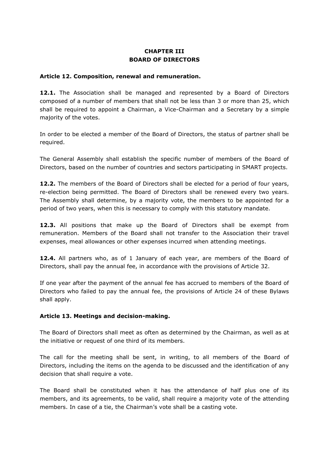# **CHAPTER III BOARD OF DIRECTORS**

#### **Article 12. Composition, renewal and remuneration.**

12.1. The Association shall be managed and represented by a Board of Directors composed of a number of members that shall not be less than 3 or more than 25, which shall be required to appoint a Chairman, a Vice-Chairman and a Secretary by a simple majority of the votes.

In order to be elected a member of the Board of Directors, the status of partner shall be required.

The General Assembly shall establish the specific number of members of the Board of Directors, based on the number of countries and sectors participating in SMART projects.

**12.2.** The members of the Board of Directors shall be elected for a period of four years, re-election being permitted. The Board of Directors shall be renewed every two years. The Assembly shall determine, by a majority vote, the members to be appointed for a period of two years, when this is necessary to comply with this statutory mandate.

**12.3.** All positions that make up the Board of Directors shall be exempt from remuneration. Members of the Board shall not transfer to the Association their travel expenses, meal allowances or other expenses incurred when attending meetings.

**12.4.** All partners who, as of 1 January of each year, are members of the Board of Directors, shall pay the annual fee, in accordance with the provisions of Article 32.

If one year after the payment of the annual fee has accrued to members of the Board of Directors who failed to pay the annual fee, the provisions of Article 24 of these Bylaws shall apply.

#### **Article 13. Meetings and decision-making.**

The Board of Directors shall meet as often as determined by the Chairman, as well as at the initiative or request of one third of its members.

The call for the meeting shall be sent, in writing, to all members of the Board of Directors, including the items on the agenda to be discussed and the identification of any decision that shall require a vote.

The Board shall be constituted when it has the attendance of half plus one of its members, and its agreements, to be valid, shall require a majority vote of the attending members. In case of a tie, the Chairman's vote shall be a casting vote.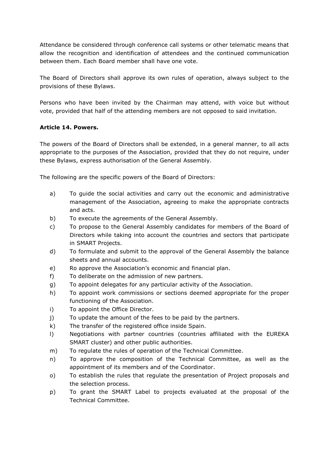Attendance be considered through conference call systems or other telematic means that allow the recognition and identification of attendees and the continued communication between them. Each Board member shall have one vote.

The Board of Directors shall approve its own rules of operation, always subject to the provisions of these Bylaws.

Persons who have been invited by the Chairman may attend, with voice but without vote, provided that half of the attending members are not opposed to said invitation.

## **Article 14. Powers.**

The powers of the Board of Directors shall be extended, in a general manner, to all acts appropriate to the purposes of the Association, provided that they do not require, under these Bylaws, express authorisation of the General Assembly.

The following are the specific powers of the Board of Directors:

- a) To guide the social activities and carry out the economic and administrative management of the Association, agreeing to make the appropriate contracts and acts.
- b) To execute the agreements of the General Assembly.
- c) To propose to the General Assembly candidates for members of the Board of Directors while taking into account the countries and sectors that participate in SMART Projects.
- d) To formulate and submit to the approval of the General Assembly the balance sheets and annual accounts.
- e) Ro approve the Association's economic and financial plan.
- f) To deliberate on the admission of new partners.
- g) To appoint delegates for any particular activity of the Association.
- h) To appoint work commissions or sections deemed appropriate for the proper functioning of the Association.
- i) To appoint the Office Director.
- j) To update the amount of the fees to be paid by the partners.
- k) The transfer of the registered office inside Spain.
- l) Negotiations with partner countries (countries affiliated with the EUREKA SMART cluster) and other public authorities.
- m) To regulate the rules of operation of the Technical Committee.
- n) To approve the composition of the Technical Committee, as well as the appointment of its members and of the Coordinator.
- o) To establish the rules that regulate the presentation of Project proposals and the selection process.
- p) To grant the SMART Label to projects evaluated at the proposal of the Technical Committee.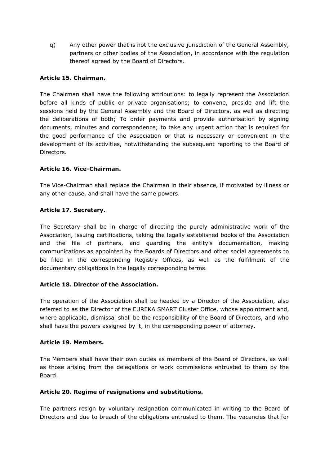q) Any other power that is not the exclusive jurisdiction of the General Assembly, partners or other bodies of the Association, in accordance with the regulation thereof agreed by the Board of Directors.

## **Article 15. Chairman.**

The Chairman shall have the following attributions: to legally represent the Association before all kinds of public or private organisations; to convene, preside and lift the sessions held by the General Assembly and the Board of Directors, as well as directing the deliberations of both; To order payments and provide authorisation by signing documents, minutes and correspondence; to take any urgent action that is required for the good performance of the Association or that is necessary or convenient in the development of its activities, notwithstanding the subsequent reporting to the Board of Directors.

#### **Article 16. Vice-Chairman.**

The Vice-Chairman shall replace the Chairman in their absence, if motivated by illness or any other cause, and shall have the same powers.

#### **Article 17. Secretary.**

The Secretary shall be in charge of directing the purely administrative work of the Association, issuing certifications, taking the legally established books of the Association and the file of partners, and guarding the entity's documentation, making communications as appointed by the Boards of Directors and other social agreements to be filed in the corresponding Registry Offices, as well as the fulfilment of the documentary obligations in the legally corresponding terms.

#### **Article 18. Director of the Association.**

The operation of the Association shall be headed by a Director of the Association, also referred to as the Director of the EUREKA SMART Cluster Office, whose appointment and, where applicable, dismissal shall be the responsibility of the Board of Directors, and who shall have the powers assigned by it, in the corresponding power of attorney.

#### **Article 19. Members.**

The Members shall have their own duties as members of the Board of Directors, as well as those arising from the delegations or work commissions entrusted to them by the Board.

#### **Article 20. Regime of resignations and substitutions.**

The partners resign by voluntary resignation communicated in writing to the Board of Directors and due to breach of the obligations entrusted to them. The vacancies that for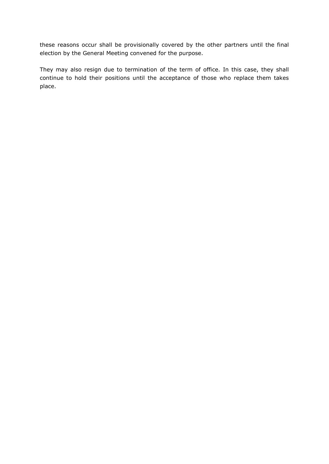these reasons occur shall be provisionally covered by the other partners until the final election by the General Meeting convened for the purpose.

They may also resign due to termination of the term of office. In this case, they shall continue to hold their positions until the acceptance of those who replace them takes place.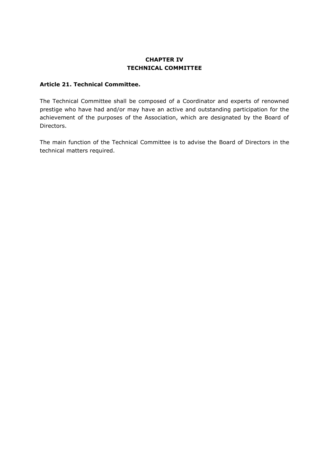## **CHAPTER IV TECHNICAL COMMITTEE**

#### **Article 21. Technical Committee.**

The Technical Committee shall be composed of a Coordinator and experts of renowned prestige who have had and/or may have an active and outstanding participation for the achievement of the purposes of the Association, which are designated by the Board of Directors.

The main function of the Technical Committee is to advise the Board of Directors in the technical matters required.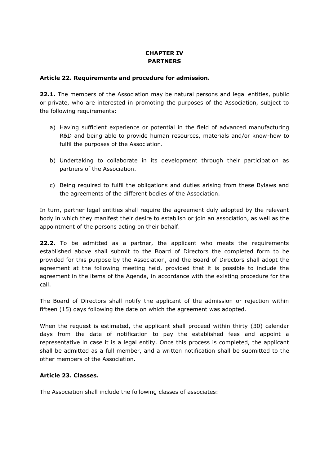# **CHAPTER IV PARTNERS**

#### **Article 22. Requirements and procedure for admission.**

**22.1.** The members of the Association may be natural persons and legal entities, public or private, who are interested in promoting the purposes of the Association, subject to the following requirements:

- a) Having sufficient experience or potential in the field of advanced manufacturing R&D and being able to provide human resources, materials and/or know-how to fulfil the purposes of the Association.
- b) Undertaking to collaborate in its development through their participation as partners of the Association.
- c) Being required to fulfil the obligations and duties arising from these Bylaws and the agreements of the different bodies of the Association.

In turn, partner legal entities shall require the agreement duly adopted by the relevant body in which they manifest their desire to establish or join an association, as well as the appointment of the persons acting on their behalf.

**22.2.** To be admitted as a partner, the applicant who meets the requirements established above shall submit to the Board of Directors the completed form to be provided for this purpose by the Association, and the Board of Directors shall adopt the agreement at the following meeting held, provided that it is possible to include the agreement in the items of the Agenda, in accordance with the existing procedure for the call.

The Board of Directors shall notify the applicant of the admission or rejection within fifteen (15) days following the date on which the agreement was adopted.

When the request is estimated, the applicant shall proceed within thirty (30) calendar days from the date of notification to pay the established fees and appoint a representative in case it is a legal entity. Once this process is completed, the applicant shall be admitted as a full member, and a written notification shall be submitted to the other members of the Association.

#### **Article 23. Classes.**

The Association shall include the following classes of associates: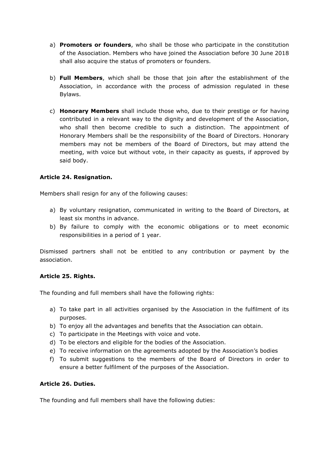- a) **Promoters or founders**, who shall be those who participate in the constitution of the Association. Members who have joined the Association before 30 June 2018 shall also acquire the status of promoters or founders.
- b) **Full Members**, which shall be those that join after the establishment of the Association, in accordance with the process of admission regulated in these Bylaws.
- c) **Honorary Members** shall include those who, due to their prestige or for having contributed in a relevant way to the dignity and development of the Association, who shall then become credible to such a distinction. The appointment of Honorary Members shall be the responsibility of the Board of Directors. Honorary members may not be members of the Board of Directors, but may attend the meeting, with voice but without vote, in their capacity as guests, if approved by said body.

## **Article 24. Resignation.**

Members shall resign for any of the following causes:

- a) By voluntary resignation, communicated in writing to the Board of Directors, at least six months in advance.
- b) By failure to comply with the economic obligations or to meet economic responsibilities in a period of 1 year.

Dismissed partners shall not be entitled to any contribution or payment by the association.

#### **Article 25. Rights.**

The founding and full members shall have the following rights:

- a) To take part in all activities organised by the Association in the fulfilment of its purposes.
- b) To enjoy all the advantages and benefits that the Association can obtain.
- c) To participate in the Meetings with voice and vote.
- d) To be electors and eligible for the bodies of the Association.
- e) To receive information on the agreements adopted by the Association's bodies
- f) To submit suggestions to the members of the Board of Directors in order to ensure a better fulfilment of the purposes of the Association.

#### **Article 26. Duties.**

The founding and full members shall have the following duties: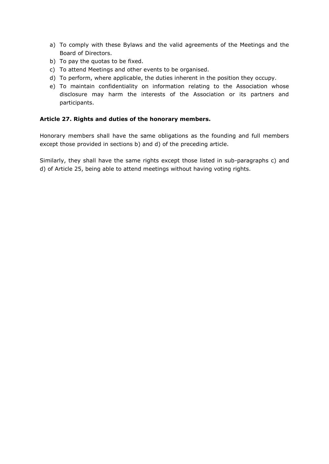- a) To comply with these Bylaws and the valid agreements of the Meetings and the Board of Directors.
- b) To pay the quotas to be fixed.
- c) To attend Meetings and other events to be organised.
- d) To perform, where applicable, the duties inherent in the position they occupy.
- e) To maintain confidentiality on information relating to the Association whose disclosure may harm the interests of the Association or its partners and participants.

#### **Article 27. Rights and duties of the honorary members.**

Honorary members shall have the same obligations as the founding and full members except those provided in sections b) and d) of the preceding article.

Similarly, they shall have the same rights except those listed in sub-paragraphs c) and d) of Article 25, being able to attend meetings without having voting rights.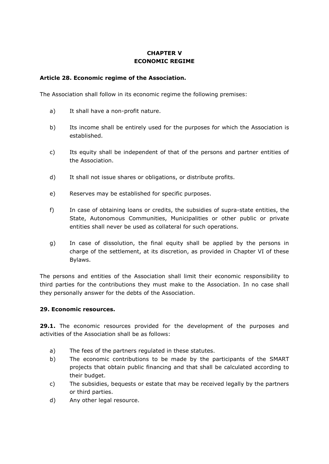## **CHAPTER V ECONOMIC REGIME**

#### **Article 28. Economic regime of the Association.**

The Association shall follow in its economic regime the following premises:

- a) It shall have a non-profit nature.
- b) Its income shall be entirely used for the purposes for which the Association is established.
- c) Its equity shall be independent of that of the persons and partner entities of the Association.
- d) It shall not issue shares or obligations, or distribute profits.
- e) Reserves may be established for specific purposes.
- f) In case of obtaining loans or credits, the subsidies of supra-state entities, the State, Autonomous Communities, Municipalities or other public or private entities shall never be used as collateral for such operations.
- g) In case of dissolution, the final equity shall be applied by the persons in charge of the settlement, at its discretion, as provided in Chapter VI of these Bylaws.

The persons and entities of the Association shall limit their economic responsibility to third parties for the contributions they must make to the Association. In no case shall they personally answer for the debts of the Association.

#### **29. Economic resources.**

**29.1.** The economic resources provided for the development of the purposes and activities of the Association shall be as follows:

- a) The fees of the partners regulated in these statutes.
- b) The economic contributions to be made by the participants of the SMART projects that obtain public financing and that shall be calculated according to their budget.
- c) The subsidies, bequests or estate that may be received legally by the partners or third parties.
- d) Any other legal resource.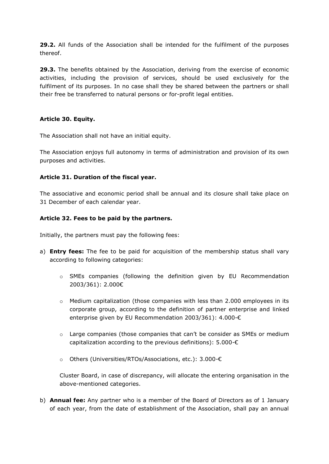**29.2.** All funds of the Association shall be intended for the fulfilment of the purposes thereof.

**29.3.** The benefits obtained by the Association, deriving from the exercise of economic activities, including the provision of services, should be used exclusively for the fulfilment of its purposes. In no case shall they be shared between the partners or shall their free be transferred to natural persons or for-profit legal entities.

#### **Article 30. Equity.**

The Association shall not have an initial equity.

The Association enjoys full autonomy in terms of administration and provision of its own purposes and activities.

#### **Article 31. Duration of the fiscal year.**

The associative and economic period shall be annual and its closure shall take place on 31 December of each calendar year.

#### **Article 32. Fees to be paid by the partners.**

Initially, the partners must pay the following fees:

- a) **Entry fees:** The fee to be paid for acquisition of the membership status shall vary according to following categories:
	- $\circ$  SMEs companies (following the definition given by EU Recommendation 2003/361): 2.000€
	- $\circ$  Medium capitalization (those companies with less than 2.000 employees in its corporate group, according to the definition of partner enterprise and linked enterprise given by EU Recommendation 2003/361): 4.000-€
	- o Large companies (those companies that can't be consider as SMEs or medium capitalization according to the previous definitions): 5.000-€
	- o Others (Universities/RTOs/Associations, etc.): 3.000-€

Cluster Board, in case of discrepancy, will allocate the entering organisation in the above-mentioned categories.

b) **Annual fee:** Any partner who is a member of the Board of Directors as of 1 January of each year, from the date of establishment of the Association, shall pay an annual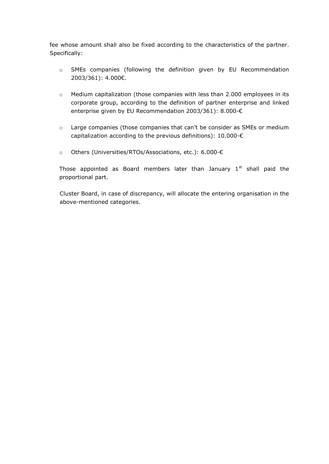fee whose amount shall also be fixed according to the characteristics of the partner. Specifically:

- o SMEs companies (following the definition given by EU Recommendation 2003/361): 4.000€.
- o Medium capitalization (those companies with less than 2.000 employees in its corporate group, according to the definition of partner enterprise and linked enterprise given by EU Recommendation 2003/361): 8.000-€
- o Large companies (those companies that can't be consider as SMEs or medium capitalization according to the previous definitions): 10.000-€
- o Others (Universities/RTOs/Associations, etc.): 6.000-€

Those appointed as Board members later than January  $1<sup>st</sup>$  shall paid the proportional part.

Cluster Board, in case of discrepancy, will allocate the entering organisation in the above-mentioned categories.